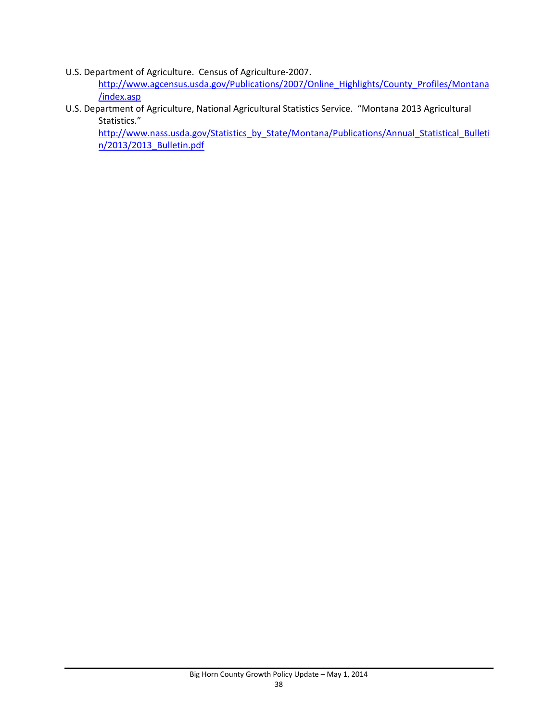U.S. Department of Agriculture. Census of Agriculture‐2007.

http://www.agcensus.usda.gov/Publications/2007/Online\_Highlights/County\_Profiles/Montana /index.asp

U.S. Department of Agriculture, National Agricultural Statistics Service. "Montana 2013 Agricultural Statistics."

http://www.nass.usda.gov/Statistics\_by\_State/Montana/Publications/Annual\_Statistical\_Bulleti n/2013/2013\_Bulletin.pdf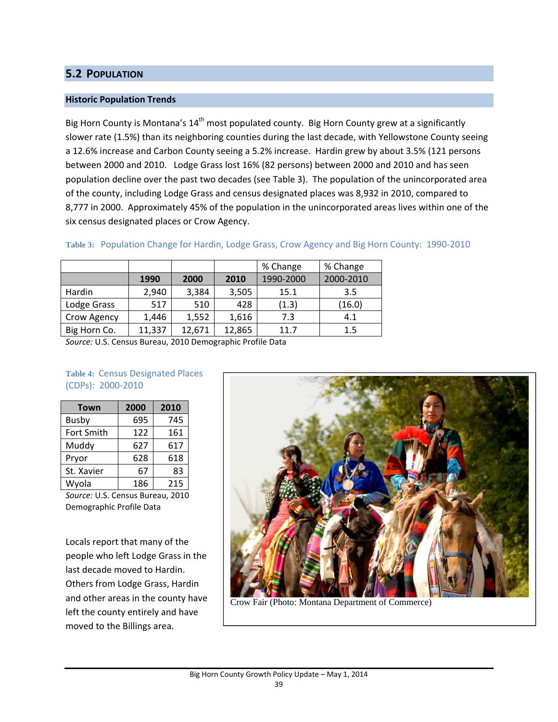# **5.2 POPULATION**

## **Historic Population Trends**

Big Horn County is Montana's 14<sup>th</sup> most populated county. Big Horn County grew at a significantly slower rate (1.5%) than its neighboring counties during the last decade, with Yellowstone County seeing a 12.6% increase and Carbon County seeing a 5.2% increase. Hardin grew by about 3.5% (121 persons between 2000 and 2010. Lodge Grass lost 16% (82 persons) between 2000 and 2010 and has seen population decline over the past two decades (see Table 3). The population of the unincorporated area of the county, including Lodge Grass and census designated places was 8,932 in 2010, compared to 8,777 in 2000. Approximately 45% of the population in the unincorporated areas lives within one of the six census designated places or Crow Agency.

|              |        |        |        | % Change  | % Change  |
|--------------|--------|--------|--------|-----------|-----------|
|              | 1990   | 2000   | 2010   | 1990-2000 | 2000-2010 |
| Hardin       | 2,940  | 3,384  | 3,505  | 15.1      | 3.5       |
| Lodge Grass  | 517    | 510    | 428    | (1.3)     | (16.0)    |
| Crow Agency  | 1,446  | 1,552  | 1,616  | 7.3       | 4.1       |
| Big Horn Co. | 11,337 | 12,671 | 12,865 | 11.7      | 1.5       |

## **Table 3:** Population Change for Hardin, Lodge Grass, Crow Agency and Big Horn County: 1990‐2010

*Source:* U.S. Census Bureau, 2010 Demographic Profile Data

### **Table 4:** Census Designated Places (CDPs): 2000‐2010

| <b>Town</b> | 2000 | 2010 |  |
|-------------|------|------|--|
| Busby       | 695  | 745  |  |
| Fort Smith  | 122  | 161  |  |
| Muddy       | 627  | 617  |  |
| Pryor       | 628  | 618  |  |
| St. Xavier  | 67   | 83   |  |
| Wyola       | 186  | 215  |  |

*Source:* U.S. Census Bureau, 2010 Demographic Profile Data

Locals report that many of the people who left Lodge Grass in the last decade moved to Hardin. Others from Lodge Grass, Hardin and other areas in the county have left the county entirely and have moved to the Billings area.



Crow Fair (Photo: Montana Department of Commerce)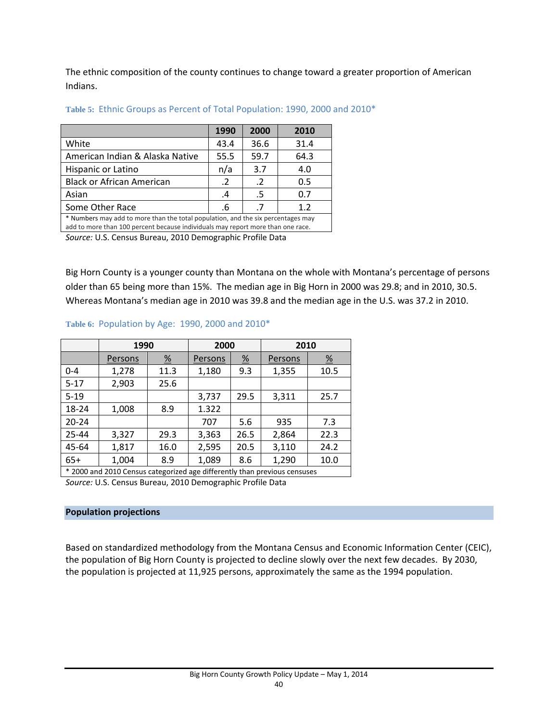The ethnic composition of the county continues to change toward a greater proportion of American Indians.

|                                                                                                                                                                     | 1990       | 2000       | 2010 |  |
|---------------------------------------------------------------------------------------------------------------------------------------------------------------------|------------|------------|------|--|
| White                                                                                                                                                               | 43.4       | 36.6       | 31.4 |  |
| American Indian & Alaska Native                                                                                                                                     | 55.5       | 59.7       | 64.3 |  |
| Hispanic or Latino                                                                                                                                                  | n/a        | 3.7        | 4.0  |  |
| <b>Black or African American</b>                                                                                                                                    | $\cdot$ .2 | $\cdot$ .2 | 0.5  |  |
| Asian<br>0.7<br>.5<br>.4                                                                                                                                            |            |            |      |  |
| Some Other Race                                                                                                                                                     | .6         | $\cdot$ .7 | 1.2  |  |
| * Numbers may add to more than the total population, and the six percentages may<br>add to more than 100 percent because individuals may report more than one race. |            |            |      |  |

#### **Table 5:** Ethnic Groups as Percent of Total Population: 1990, 2000 and 2010\*

add to more than 100 percent because individuals may report more than one race.

*Source:* U.S. Census Bureau, 2010 Demographic Profile Data

Big Horn County is a younger county than Montana on the whole with Montana's percentage of persons older than 65 being more than 15%. The median age in Big Horn in 2000 was 29.8; and in 2010, 30.5. Whereas Montana's median age in 2010 was 39.8 and the median age in the U.S. was 37.2 in 2010.

|                                                                           | 1990    |               | 2000    |                       | 2010    |                       |
|---------------------------------------------------------------------------|---------|---------------|---------|-----------------------|---------|-----------------------|
|                                                                           | Persons | $\frac{9}{6}$ | Persons | $\frac{\%}{\sqrt{2}}$ | Persons | $\frac{\%}{\sqrt{2}}$ |
| $0 - 4$                                                                   | 1,278   | 11.3          | 1,180   | 9.3                   | 1,355   | 10.5                  |
| $5 - 17$                                                                  | 2,903   | 25.6          |         |                       |         |                       |
| $5 - 19$                                                                  |         |               | 3,737   | 29.5                  | 3,311   | 25.7                  |
| 18-24                                                                     | 1,008   | 8.9           | 1.322   |                       |         |                       |
| $20 - 24$                                                                 |         |               | 707     | 5.6                   | 935     | 7.3                   |
| $25 - 44$                                                                 | 3,327   | 29.3          | 3,363   | 26.5                  | 2,864   | 22.3                  |
| 45-64                                                                     | 1,817   | 16.0          | 2,595   | 20.5                  | 3,110   | 24.2                  |
| $65+$                                                                     | 1,004   | 8.9           | 1,089   | 8.6                   | 1,290   | 10.0                  |
| * 2000 and 2010 Census categorized age differently than previous censuses |         |               |         |                       |         |                       |

*Source:* U.S. Census Bureau, 2010 Demographic Profile Data

### **Population projections**

Based on standardized methodology from the Montana Census and Economic Information Center (CEIC), the population of Big Horn County is projected to decline slowly over the next few decades. By 2030, the population is projected at 11,925 persons, approximately the same as the 1994 population.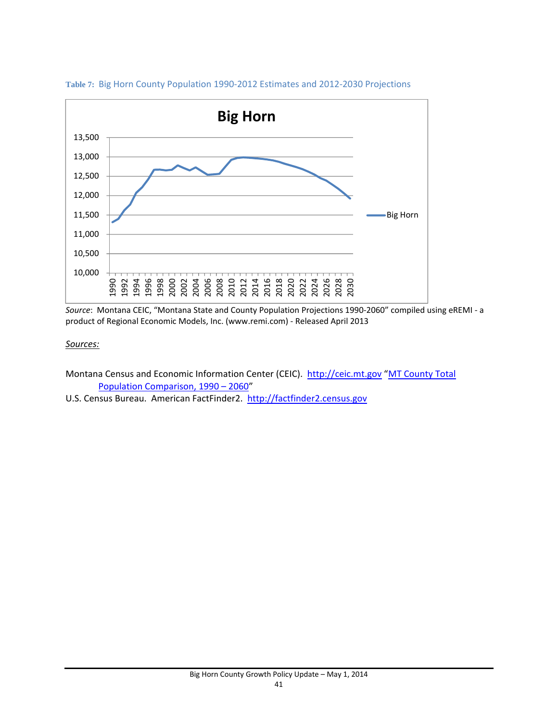

### **Table 7:** Big Horn County Population 1990‐2012 Estimates and 2012‐2030 Projections

*Source*: Montana CEIC, "Montana State and County Population Projections 1990‐2060" compiled using eREMI ‐ a product of Regional Economic Models, Inc. (www.remi.com) ‐ Released April 2013

#### *Sources:*

- Montana Census and Economic Information Center (CEIC). http://ceic.mt.gov "MT County Total Population Comparison, 1990 – 2060"
- U.S. Census Bureau. American FactFinder2. http://factfinder2.census.gov